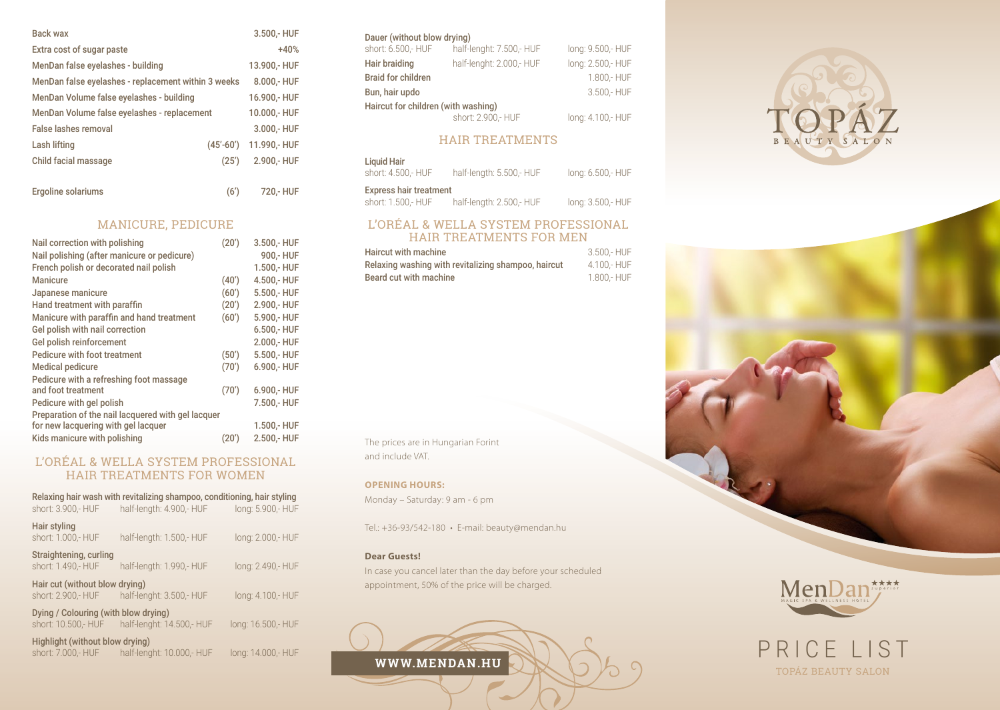| <b>Back wax</b>                                     |               | 3.500,- HUF   |
|-----------------------------------------------------|---------------|---------------|
| Extra cost of sugar paste                           |               | $+40%$        |
| MenDan false eyelashes - building                   |               | 13.900,- HUF  |
| MenDan false eyelashes - replacement within 3 weeks |               | 8.000,- HUF   |
| MenDan Volume false eyelashes - building            |               | 16.900,- HUF  |
| MenDan Volume false eyelashes - replacement         |               | 10.000,- HUF  |
| False lashes removal                                |               | 3.000 .- HUF  |
| Lash lifting                                        | $(45' - 60')$ | 11.990 .- HUF |
| Child facial massage                                | (25')         | 2.900,- HUF   |
|                                                     |               |               |
| Ergoline solariums                                  | (6')          | 720,- HUF     |

# MANICURE, PEDICURE

| Nail correction with polishing                     | (20') | 3.500,- HUF |
|----------------------------------------------------|-------|-------------|
| Nail polishing (after manicure or pedicure)        |       | 900 .- HUF  |
| French polish or decorated nail polish             |       | 1.500,- HUF |
| <b>Manicure</b>                                    | (40') | 4.500,- HUF |
| Japanese manicure                                  | (60') | 5.500,- HUF |
| Hand treatment with paraffin                       | (20') | 2.900,- HUF |
| Manicure with paraffin and hand treatment          | (60') | 5.900,- HUF |
| Gel polish with nail correction                    |       | 6.500,- HUF |
| Gel polish reinforcement                           |       | 2.000,- HUF |
| Pedicure with foot treatment                       | (50') | 5.500,- HUF |
| <b>Medical pedicure</b>                            | (70') | 6.900,- HUF |
| Pedicure with a refreshing foot massage            |       |             |
| and foot treatment                                 | (70') | 6.900,- HUF |
| Pedicure with gel polish                           |       | 7.500,- HUF |
| Preparation of the nail lacquered with gel lacquer |       |             |
| for new lacquering with gel lacquer                |       | 1.500,- HUF |
| Kids manicure with polishing                       | (20′) | 2.500,- HUF |

# L'ORÉAL & WELLA SYSTEM PROFESSIONAL HAIR TREATMENTS FOR WOMEN

| short: 3.900,- HUF                                          | Relaxing hair wash with revitalizing shampoo, conditioning, hair styling<br>half-length: 4.900,- HUF | long: 5.900,- HUF  |
|-------------------------------------------------------------|------------------------------------------------------------------------------------------------------|--------------------|
| Hair styling<br>short: 1.000,- HUF                          | half-length: 1.500,- HUF                                                                             | long: 2.000,- HUF  |
| Straightening, curling<br>short: 1.490,- HUF                | half-length: 1.990,- HUF                                                                             | long: 2.490,- HUF  |
| Hair cut (without blow drying)<br>short: 2.900,- HUF        | half-lenght: 3.500,- HUF                                                                             | long: 4.100,- HUF  |
| Dying / Colouring (with blow drying)<br>short: 10.500,- HUF | half-lenght: 14.500,- HUF                                                                            | long: 16.500,- HUF |
| Highlight (without blow drying)<br>short: 7.000,- HUF       | half-lenght: 10.000 .- HUF                                                                           | long: 14.000,- HUF |

### Dauer (without blow drying)

| short: 6.500,- HUF                  | half-lenght: 7.500,- HUF | long: 9.500,- HUF |
|-------------------------------------|--------------------------|-------------------|
| Hair braiding                       | half-lenght: 2.000,- HUF | long: 2.500,- HUF |
| <b>Braid for children</b>           |                          | 1.800 .- HUF      |
| Bun, hair updo                      |                          | 3.500 .- HUF      |
| Haircut for children (with washing) |                          |                   |
|                                     | short: 2.900 .- HUF      | long: 4.100,- HUF |

# HAIR TREATMENTS

| Liquid Hair<br>short: 4.500 .- HUF                   | half-length: 5.500,- HUF | long: 6.500,- HUF |
|------------------------------------------------------|--------------------------|-------------------|
| <b>Express hair treatment</b><br>short: 1.500 .- HUF | half-length: 2.500,- HUF | long: 3.500,- HUF |

# L'ORÉAL & WELLA SYSTEM PROFESSIONAL HAIR TREATMENTS FOR MEN

| <b>Haircut with machine</b>                         | 3.500 .- HUF |
|-----------------------------------------------------|--------------|
| Relaxing washing with revitalizing shampoo, haircut | 4.100 .- HUF |
| Beard cut with machine                              | 1.800 .- HUF |

The prices are in Hungarian Forint and include VAT.

#### **OPENING HOURS:**

Monday – Saturday: 9 am - 6 pm

Tel.: +36-93/542-180 • E-mail: beauty@mendan.hu

#### **Dear Guests!**

In case you cancel later than the day before your scheduled appointment, 50% of the price will be charged.